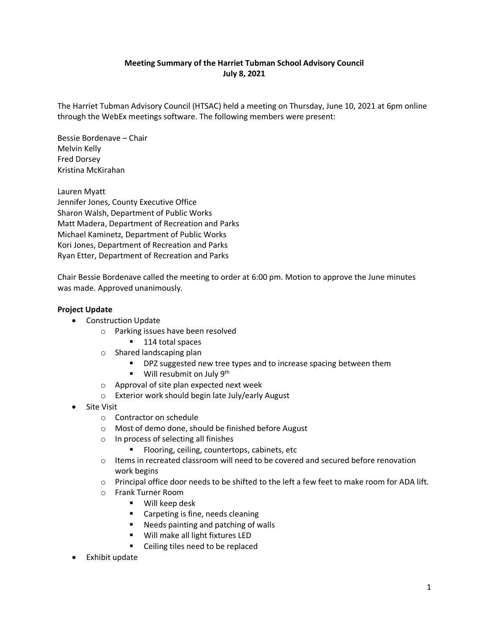## **Meeting Summary of the Harriet Tubman School Advisory Council July 8, 2021**

The Harriet Tubman Advisory Council (HTSAC) held a meeting on Thursday, June 10, 2021 at 6pm online through the WebEx meetings software. The following members were present:

Bessie Bordenave – Chair Melvin Kelly Fred Dorsey Kristina McKirahan

Lauren Myatt Jennifer Jones, County Executive Office Sharon Walsh, Department of Public Works Matt Madera, Department of Recreation and Parks Michael Kaminetz, Department of Public Works Kori Jones, Department of Recreation and Parks Ryan Etter, Department of Recreation and Parks

Chair Bessie Bordenave called the meeting to order at 6:00 pm. Motion to approve the June minutes was made. Approved unanimously.

## **Project Update**

- Construction Update
	- o Parking issues have been resolved
		- 114 total spaces
	- o Shared landscaping plan
		- **PHI** DPZ suggested new tree types and to increase spacing between them
		- $\blacksquare$  Will resubmit on July 9<sup>th</sup>
	- o Approval of site plan expected next week
	- o Exterior work should begin late July/early August
- Site Visit
	- o Contractor on schedule
	- o Most of demo done, should be finished before August
	- o In process of selecting all finishes
		- **FIOOTING, CELLING, COUNTERTIONS, CABINETS, Etc.**
	- $\circ$  Items in recreated classroom will need to be covered and secured before renovation work begins
	- $\circ$  Principal office door needs to be shifted to the left a few feet to make room for ADA lift.
	- o Frank Turner Room
		- Will keep desk
		- **EXEC** Carpeting is fine, needs cleaning
		- Needs painting and patching of walls
		- Will make all light fixtures LED
		- Ceiling tiles need to be replaced
- Exhibit update